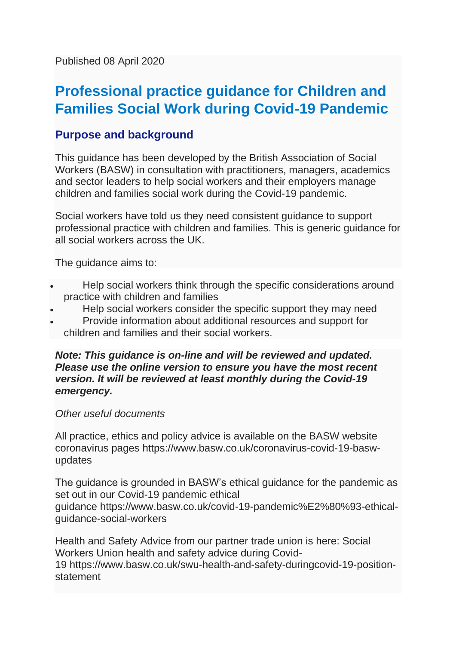Published 08 April 2020

# **Professional practice guidance for Children and Families Social Work during Covid-19 Pandemic**

# **Purpose and background**

This guidance has been developed by the British Association of Social Workers (BASW) in consultation with practitioners, managers, academics and sector leaders to help social workers and their employers manage children and families social work during the Covid-19 pandemic.

Social workers have told us they need consistent guidance to support professional practice with children and families. This is generic guidance for all social workers across the UK.

The guidance aims to:

- Help social workers think through the specific considerations around practice with children and families
- Help social workers consider the specific support they may need
- Provide information about additional resources and support for children and families and their social workers.

#### *Note: This guidance is on-line and will be reviewed and updated. Please use the online version to ensure you have the most recent version. It will be reviewed at least monthly during the Covid-19 emergency.*

#### *Other useful documents*

All practice, ethics and policy advice is available on the BASW website coronavirus pages [https://www.basw.co.uk/coronavirus-covid-19-basw](https://www.basw.co.uk/coronavirus-covid-19-basw-updates)[updates](https://www.basw.co.uk/coronavirus-covid-19-basw-updates) 

The guidance is grounded in BASW's ethical guidance for the pandemic as set out in our Covid-19 pandemic ethical guidance [https://www.basw.co.uk/covid-19-pandemic%E2%80%93-ethical](https://www.basw.co.uk/covid-19-pandemic%E2%80%93-ethical-guidance-social-workers)[guidance-social-workers](https://www.basw.co.uk/covid-19-pandemic%E2%80%93-ethical-guidance-social-workers)

Health and Safety Advice from our partner trade union is here: Social Workers Union health and safety advice during Covid-19 [https://www.basw.co.uk/swu-health-and-safety-duringcovid-19-position](https://www.basw.co.uk/swu-health-and-safety-duringcovid-19-position-statement)[statement](https://www.basw.co.uk/swu-health-and-safety-duringcovid-19-position-statement)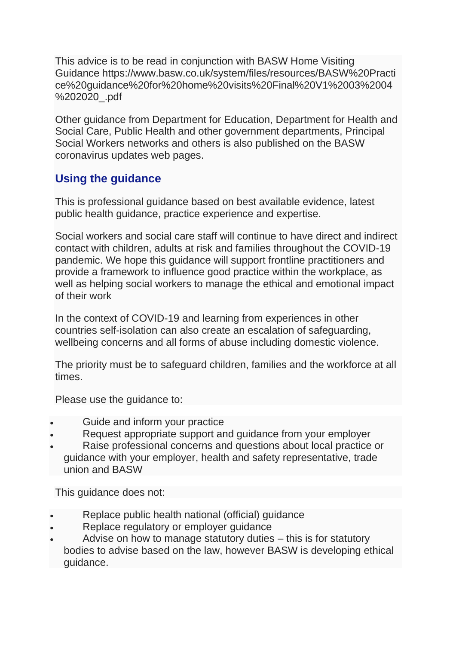This advice is to be read in conjunction with BASW Home Visiting Guidance [https://www.basw.co.uk/system/files/resources/BASW%20Practi](https://www.basw.co.uk/system/files/resources/BASW%20Practice%20guidance%20for%20home%20visits%20Final%20V1%2003%2004%202020_.pdf) [ce%20guidance%20for%20home%20visits%20Final%20V1%2003%2004](https://www.basw.co.uk/system/files/resources/BASW%20Practice%20guidance%20for%20home%20visits%20Final%20V1%2003%2004%202020_.pdf) [%202020\\_.pdf](https://www.basw.co.uk/system/files/resources/BASW%20Practice%20guidance%20for%20home%20visits%20Final%20V1%2003%2004%202020_.pdf)

Other guidance from Department for Education, Department for Health and Social Care, Public Health and other government departments, Principal Social Workers networks and others is also published on the BASW coronavirus updates web pages.

# **Using the guidance**

This is professional guidance based on best available evidence, latest public health guidance, practice experience and expertise.

Social workers and social care staff will continue to have direct and indirect contact with children, adults at risk and families throughout the COVID-19 pandemic. We hope this guidance will support frontline practitioners and provide a framework to influence good practice within the workplace, as well as helping social workers to manage the ethical and emotional impact of their work

In the context of COVID-19 and learning from experiences in other countries self-isolation can also create an escalation of safeguarding, wellbeing concerns and all forms of abuse including domestic violence.

The priority must be to safeguard children, families and the workforce at all times.

Please use the guidance to:

- Guide and inform your practice
- Request appropriate support and guidance from your employer
- Raise professional concerns and questions about local practice or guidance with your employer, health and safety representative, trade union and BASW

This guidance does not:

- Replace public health national (official) guidance
- Replace regulatory or employer guidance
- Advise on how to manage statutory duties this is for statutory bodies to advise based on the law, however BASW is developing ethical guidance.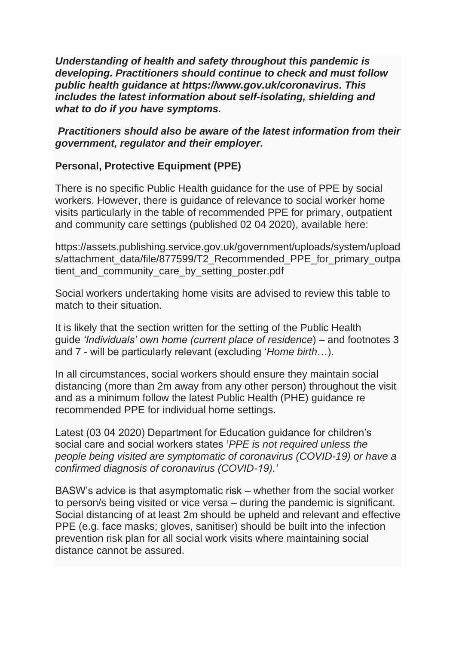*Understanding of health and safety throughout this pandemic is developing. Practitioners should continue to check and must follow public health guidance at [https://www.gov.uk/coronavirus.](https://www.gov.uk/coronavirus) This includes the latest information about self-isolating, shielding and what to do if you have symptoms.*

#### *Practitioners should also be aware of the latest information from their government, regulator and their employer.*

### **Personal, Protective Equipment (PPE)**

There is no specific Public Health guidance for the use of PPE by social workers. However, there is guidance of relevance to social worker home visits particularly in the table of recommended PPE for primary, outpatient and community care settings (published 02 04 2020), available here:

[https://assets.publishing.service.gov.uk/government/uploads/system/upload](https://assets.publishing.service.gov.uk/government/uploads/system/uploads/attachment_data/file/877599/T2_Recommended_PPE_for_primary_outpatient_and_community_care_by_setting_poster.pdf) s/attachment data/file/877599/T2 Recommended PPE for primary outpa [tient\\_and\\_community\\_care\\_by\\_setting\\_poster.pdf](https://assets.publishing.service.gov.uk/government/uploads/system/uploads/attachment_data/file/877599/T2_Recommended_PPE_for_primary_outpatient_and_community_care_by_setting_poster.pdf)

Social workers undertaking home visits are advised to review this table to match to their situation.

It is likely that the section written for the setting of the Public Health guide *'Individuals' own home (current place of residence*) – and footnotes 3 and 7 - will be particularly relevant (excluding '*Home birth*…).

In all circumstances, social workers should ensure they maintain social distancing (more than 2m away from any other person) throughout the visit and as a minimum follow the latest Public Health (PHE) guidance re recommended PPE for individual home settings.

Latest (03 04 2020) Department for Education guidance for children's social care and social workers states '*PPE is not required unless the people being visited are symptomatic of coronavirus (COVID-19) or have a confirmed diagnosis of coronavirus (COVID-19).'*

BASW's advice is that asymptomatic risk – whether from the social worker to person/s being visited or vice versa – during the pandemic is significant. Social distancing of at least 2m should be upheld and relevant and effective PPE (e.g. face masks; gloves, sanitiser) should be built into the infection prevention risk plan for all social work visits where maintaining social distance cannot be assured.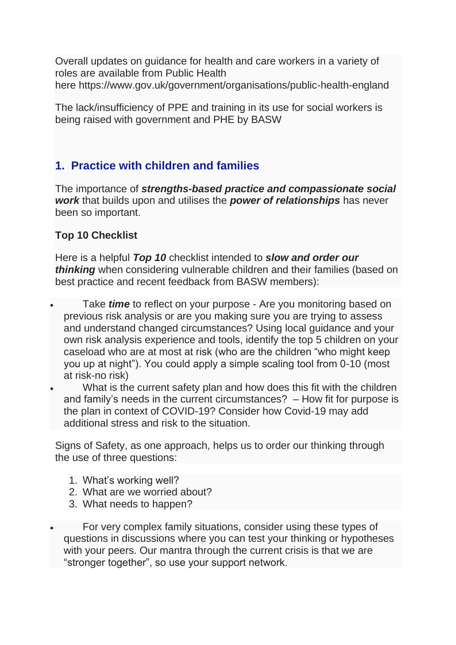Overall updates on guidance for health and care workers in a variety of roles are available from Public Health here <https://www.gov.uk/government/organisations/public-health-england>

The lack/insufficiency of PPE and training in its use for social workers is being raised with government and PHE by BASW

# **1. Practice with children and families**

The importance of *strengths-based practice and compassionate social work* that builds upon and utilises the *power of relationships* has never been so important.

### **Top 10 Checklist**

Here is a helpful *Top 10* checklist intended to *slow and order our thinking* when considering vulnerable children and their families (based on best practice and recent feedback from BASW members):

- Take *time* to reflect on your purpose Are you monitoring based on previous risk analysis or are you making sure you are trying to assess and understand changed circumstances? Using local guidance and your own risk analysis experience and tools, identify the top 5 children on your caseload who are at most at risk (who are the children "who might keep you up at night"). You could apply a simple scaling tool from 0-10 (most at risk-no risk)
- What is the current safety plan and how does this fit with the children and family's needs in the current circumstances? – How fit for purpose is the plan in context of COVID-19? Consider how Covid-19 may add additional stress and risk to the situation.

Signs of Safety, as one approach, helps us to order our thinking through the use of three questions:

- 1. What's working well?
- 2. What are we worried about?
- 3. What needs to happen?

• For very complex family situations, consider using these types of questions in discussions where you can test your thinking or hypotheses with your peers. Our mantra through the current crisis is that we are "stronger together", so use your support network.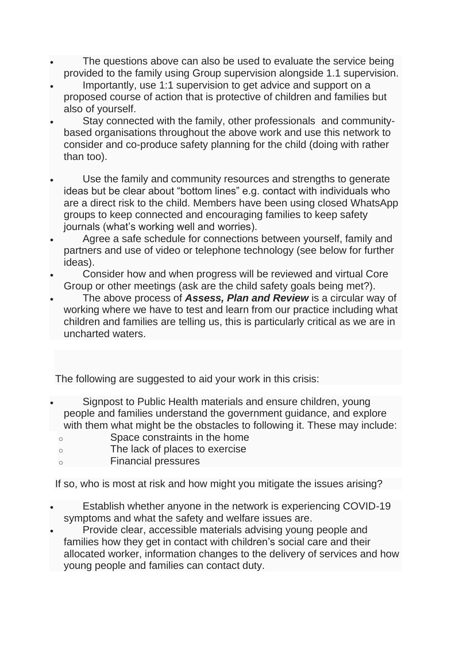- The questions above can also be used to evaluate the service being provided to the family using Group supervision alongside 1.1 supervision.
- Importantly, use 1:1 supervision to get advice and support on a proposed course of action that is protective of children and families but also of yourself.
- Stay connected with the family, other professionals and communitybased organisations throughout the above work and use this network to consider and co-produce safety planning for the child (doing with rather than too).
- Use the family and community resources and strengths to generate ideas but be clear about "bottom lines" e.g. contact with individuals who are a direct risk to the child. Members have been using closed WhatsApp groups to keep connected and encouraging families to keep safety journals (what's working well and worries).
- Agree a safe schedule for connections between yourself, family and partners and use of video or telephone technology (see below for further ideas).
- Consider how and when progress will be reviewed and virtual Core Group or other meetings (ask are the child safety goals being met?).
- The above process of *Assess, Plan and Review* is a circular way of working where we have to test and learn from our practice including what children and families are telling us, this is particularly critical as we are in uncharted waters.

The following are suggested to aid your work in this crisis:

- Signpost to Public Health materials and ensure children, young people and families understand the government guidance, and explore with them what might be the obstacles to following it. These may include:
- o Space constraints in the home
- o The lack of places to exercise
- o Financial pressures

If so, who is most at risk and how might you mitigate the issues arising?

- Establish whether anyone in the network is experiencing COVID-19 symptoms and what the safety and welfare issues are.
- Provide clear, accessible materials advising young people and families how they get in contact with children's social care and their allocated worker, information changes to the delivery of services and how young people and families can contact duty.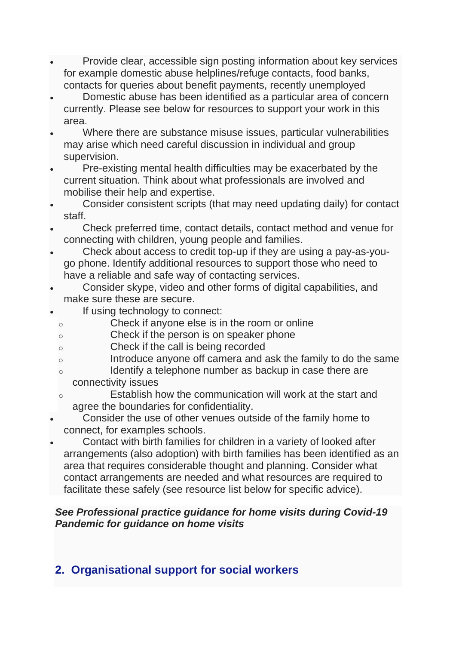- Provide clear, accessible sign posting information about key services for example domestic abuse helplines/refuge contacts, food banks, contacts for queries about benefit payments, recently unemployed
- Domestic abuse has been identified as a particular area of concern currently. Please see below for resources to support your work in this area.
- Where there are substance misuse issues, particular vulnerabilities may arise which need careful discussion in individual and group supervision.
- Pre-existing mental health difficulties may be exacerbated by the current situation. Think about what professionals are involved and mobilise their help and expertise.
- Consider consistent scripts (that may need updating daily) for contact staff.
- Check preferred time, contact details, contact method and venue for connecting with children, young people and families.
- Check about access to credit top-up if they are using a pay-as-yougo phone. Identify additional resources to support those who need to have a reliable and safe way of contacting services.
- Consider skype, video and other forms of digital capabilities, and make sure these are secure.
- If using technology to connect:
	- o Check if anyone else is in the room or online
	- o Check if the person is on speaker phone
	- o Check if the call is being recorded
	- o Introduce anyone off camera and ask the family to do the same
	- o Identify a telephone number as backup in case there are connectivity issues
	- o Establish how the communication will work at the start and agree the boundaries for confidentiality.
- Consider the use of other venues outside of the family home to connect, for examples schools.
- Contact with birth families for children in a variety of looked after arrangements (also adoption) with birth families has been identified as an area that requires considerable thought and planning. Consider what contact arrangements are needed and what resources are required to facilitate these safely (see resource list below for specific advice).

# *See [Professional practice guidance for home visits during Covid-19](https://www.basw.co.uk/professional-practice-guidance-home-visits-during-covid-19-pandemic)  [Pandemic for guidance on home visits](https://www.basw.co.uk/professional-practice-guidance-home-visits-during-covid-19-pandemic)*

# **2. Organisational support for social workers**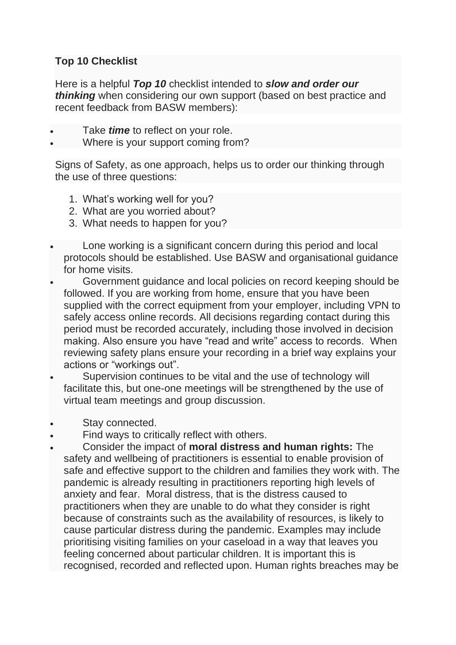## **Top 10 Checklist**

Here is a helpful *Top 10* checklist intended to *slow and order our thinking* when considering our own support (based on best practice and recent feedback from BASW members):

- Take *time* to reflect on your role.
- Where is your support coming from?

Signs of Safety, as one approach, helps us to order our thinking through the use of three questions:

- 1. What's working well for you?
- 2. What are you worried about?
- 3. What needs to happen for you?
- Lone working is a significant concern during this period and local protocols should be established. Use BASW and organisational guidance for home visits.
- Government guidance and local policies on record keeping should be followed. If you are working from home, ensure that you have been supplied with the correct equipment from your employer, including VPN to safely access online records. All decisions regarding contact during this period must be recorded accurately, including those involved in decision making. Also ensure you have "read and write" access to records. When reviewing safety plans ensure your recording in a brief way explains your actions or "workings out".
- Supervision continues to be vital and the use of technology will facilitate this, but one-one meetings will be strengthened by the use of virtual team meetings and group discussion.
- Stay connected.
- Find ways to critically reflect with others.
- Consider the impact of **moral distress and human rights:** The safety and wellbeing of practitioners is essential to enable provision of safe and effective support to the children and families they work with. The pandemic is already resulting in practitioners reporting high levels of anxiety and fear. Moral distress, that is the distress caused to practitioners when they are unable to do what they consider is right because of constraints such as the availability of resources, is likely to cause particular distress during the pandemic. Examples may include prioritising visiting families on your caseload in a way that leaves you feeling concerned about particular children. It is important this is recognised, recorded and reflected upon. Human rights breaches may be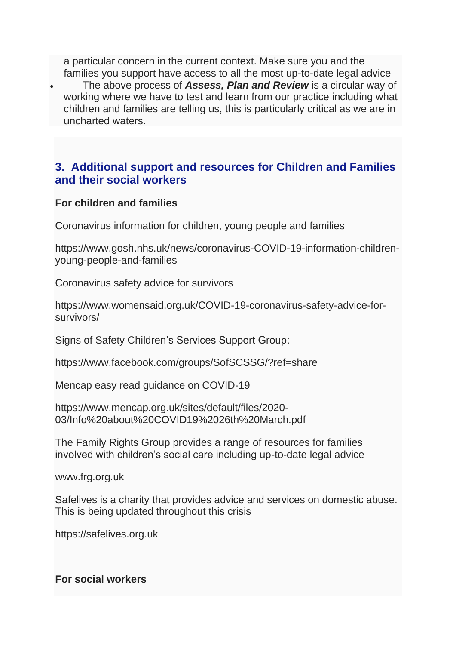a particular concern in the current context. Make sure you and the families you support have access to all the most up-to-date legal advice

• The above process of *Assess, Plan and Review* is a circular way of working where we have to test and learn from our practice including what children and families are telling us, this is particularly critical as we are in uncharted waters.

# **3. Additional support and resources for Children and Families and their social workers**

#### **For children and families**

Coronavirus information for children, young people and families

[https://www.gosh.nhs.uk/news/coronavirus-COVID-19-information-children](https://www.gosh.nhs.uk/news/coronavirus-covid-19-information-children-young-people-and-families)[young-people-and-families](https://www.gosh.nhs.uk/news/coronavirus-covid-19-information-children-young-people-and-families)

Coronavirus safety advice for survivors

[https://www.womensaid.org.uk/COVID-19-coronavirus-safety-advice-for](https://www.womensaid.org.uk/covid-19-coronavirus-safety-advice-for-survivors/)[survivors/](https://www.womensaid.org.uk/covid-19-coronavirus-safety-advice-for-survivors/)

Signs of Safety Children's Services Support Group:

<https://www.facebook.com/groups/SofSCSSG/?ref=share>

Mencap easy read guidance on COVID-19

[https://www.mencap.org.uk/sites/default/files/2020-](https://www.mencap.org.uk/sites/default/files/2020-03/Info%20about%20covid19%2026th%20March.pdf) [03/Info%20about%20COVID19%2026th%20March.pdf](https://www.mencap.org.uk/sites/default/files/2020-03/Info%20about%20covid19%2026th%20March.pdf)

The Family Rights Group provides a range of resources for families involved with children's social care including up-to-date legal advice

[www.frg.org.uk](http://www.frg.org.uk/)

Safelives is a charity that provides advice and services on domestic abuse. This is being updated throughout this crisis

[https://safelives.org.uk](https://safelives.org.uk/)

#### **For social workers**